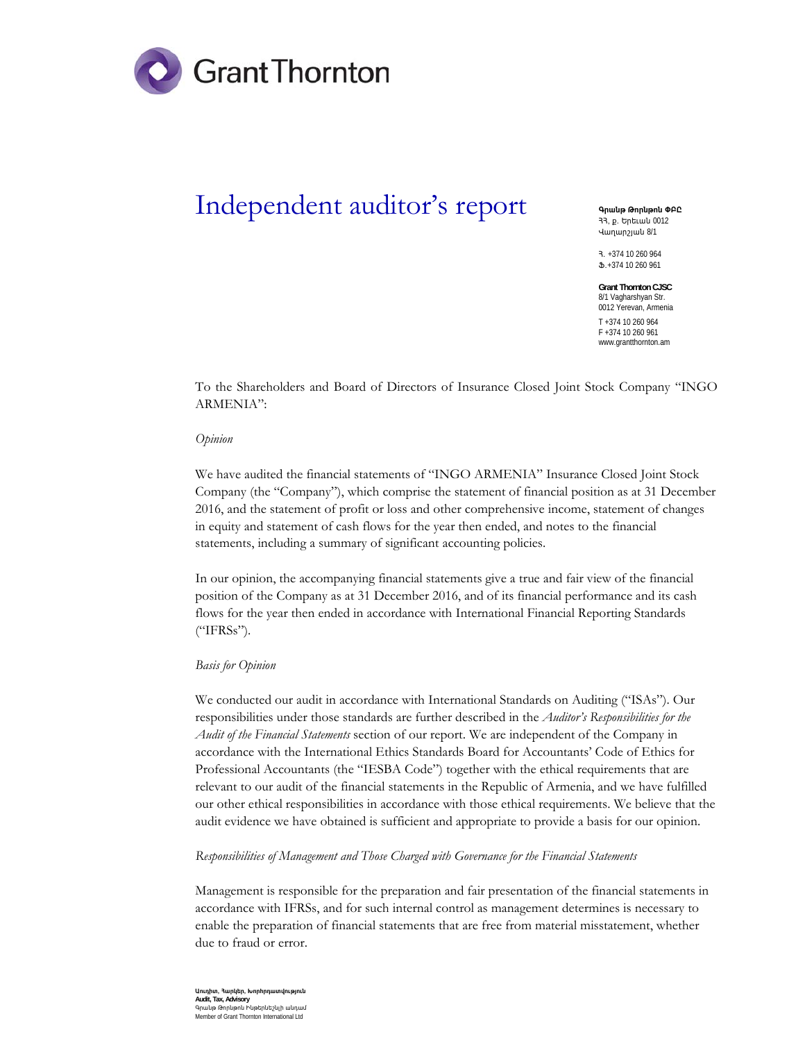

## Independent auditor's report

**4 nulp Gnnupnu OPC** 33. p. bnbuul 0012 **Hununzjulu 8/1** 

Ð. +374 10 260 964  $$+374$  10 260 961

**Grant Thornton CJSC**  8/1 Vagharshyan Str. 0012 Yerevan, Armenia T +374 10 260 964 F +374 10 260 961 www.grantthornton.am

To the Shareholders and Board of Directors of Insurance Closed Joint Stock Company "INGO ARMENIA":

## *Opinion*

We have audited the financial statements of "INGO ARMENIA" Insurance Closed Joint Stock Company (the "Company"), which comprise the statement of financial position as at 31 December 2016, and the statement of profit or loss and other comprehensive income, statement of changes in equity and statement of cash flows for the year then ended, and notes to the financial statements, including a summary of significant accounting policies.

In our opinion, the accompanying financial statements give a true and fair view of the financial position of the Company as at 31 December 2016, and of its financial performance and its cash flows for the year then ended in accordance with International Financial Reporting Standards ("IFRSs").

## *Basis for Opinion*

We conducted our audit in accordance with International Standards on Auditing ("ISAs"). Our responsibilities under those standards are further described in the *Auditor's Responsibilities for the Audit of the Financial Statements* section of our report. We are independent of the Company in accordance with the International Ethics Standards Board for Accountants' Code of Ethics for Professional Accountants (the "IESBA Code") together with the ethical requirements that are relevant to our audit of the financial statements in the Republic of Armenia, and we have fulfilled our other ethical responsibilities in accordance with those ethical requirements. We believe that the audit evidence we have obtained is sufficient and appropriate to provide a basis for our opinion.

*Responsibilities of Management and Those Charged with Governance for the Financial Statements* 

Management is responsible for the preparation and fair presentation of the financial statements in accordance with IFRSs, and for such internal control as management determines is necessary to enable the preparation of financial statements that are free from material misstatement, whether due to fraud or error.

**Աուդիտ, Յարկեր, Խորիրդատվություն Audit, Tax, Advisory**  ghula annluan Puatnlut Annul Member of Grant Thornton International Ltd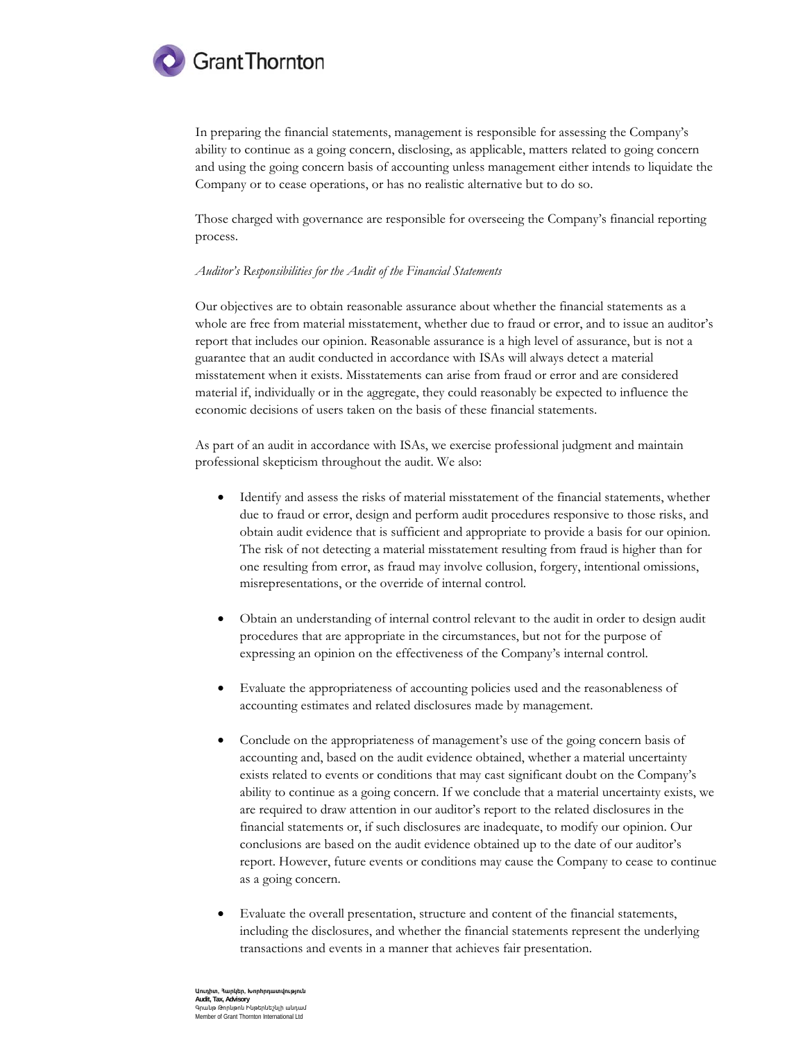

In preparing the financial statements, management is responsible for assessing the Company's ability to continue as a going concern, disclosing, as applicable, matters related to going concern and using the going concern basis of accounting unless management either intends to liquidate the Company or to cease operations, or has no realistic alternative but to do so.

Those charged with governance are responsible for overseeing the Company's financial reporting process.

## Auditor's Responsibilities for the Audit of the Financial Statements

Our objectives are to obtain reasonable assurance about whether the financial statements as a whole are free from material misstatement, whether due to fraud or error, and to issue an auditor's report that includes our opinion. Reasonable assurance is a high level of assurance, but is not a guarantee that an audit conducted in accordance with ISAs will always detect a material misstatement when it exists. Misstatements can arise from fraud or error and are considered material if, individually or in the aggregate, they could reasonably be expected to influence the economic decisions of users taken on the basis of these financial statements.

As part of an audit in accordance with ISAs, we exercise professional judgment and maintain professional skepticism throughout the audit. We also:

- $\bullet$ Identify and assess the risks of material misstatement of the financial statements, whether due to fraud or error, design and perform audit procedures responsive to those risks, and obtain audit evidence that is sufficient and appropriate to provide a basis for our opinion. The risk of not detecting a material misstatement resulting from fraud is higher than for one resulting from error, as fraud may involve collusion, forgery, intentional omissions, misrepresentations, or the override of internal control.
- Obtain an understanding of internal control relevant to the audit in order to design audit  $\bullet$ procedures that are appropriate in the circumstances, but not for the purpose of expressing an opinion on the effectiveness of the Company's internal control.
- Evaluate the appropriateness of accounting policies used and the reasonableness of  $\bullet$ accounting estimates and related disclosures made by management.
- Conclude on the appropriateness of management's use of the going concern basis of accounting and, based on the audit evidence obtained, whether a material uncertainty exists related to events or conditions that may cast significant doubt on the Company's ability to continue as a going concern. If we conclude that a material uncertainty exists, we are required to draw attention in our auditor's report to the related disclosures in the financial statements or, if such disclosures are inadequate, to modify our opinion. Our conclusions are based on the audit evidence obtained up to the date of our auditor's report. However, future events or conditions may cause the Company to cease to continue as a going concern.
- Evaluate the overall presentation, structure and content of the financial statements,  $\bullet$ including the disclosures, and whether the financial statements represent the underlying transactions and events in a manner that achieves fair presentation.